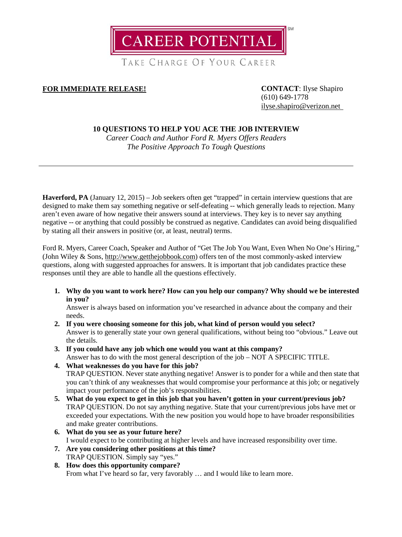

TAKE CHARGE OF YOUR CAREER

# **FOR IMMEDIATE RELEASE! CONTACT**: Ilyse Shapiro

(610) 649-1778 [ilyse.shapiro@verizon.net](mailto:ilyse.shapiro@verizon.net)

## **10 QUESTIONS TO HELP YOU ACE THE JOB INTERVIEW**

*Career Coach and Author Ford R. Myers Offers Readers The Positive Approach To Tough Questions*

**Haverford, PA** (January 12, 2015) – Job seekers often get "trapped" in certain interview questions that are designed to make them say something negative or self-defeating -- which generally leads to rejection. Many aren't even aware of how negative their answers sound at interviews. They key is to never say anything negative -- or anything that could possibly be construed as negative. Candidates can avoid being disqualified by stating all their answers in positive (or, at least, neutral) terms.

Ford R. Myers, Career Coach, Speaker and Author of "Get The Job You Want, Even When No One's Hiring," (John Wiley & Sons, [http://www.getthejobbook.com\)](http://www.getthejobbook.com/) offers ten of the most commonly-asked interview questions, along with suggested approaches for answers. It is important that job candidates practice these responses until they are able to handle all the questions effectively.

**1. Why do you want to work here? How can you help our company? Why should we be interested in you?**

Answer is always based on information you've researched in advance about the company and their needs.

- **2. If you were choosing someone for this job, what kind of person would you select?** Answer is to generally state your own general qualifications, without being too "obvious." Leave out the details.
- **3. If you could have any job which one would you want at this company?** Answer has to do with the most general description of the job – NOT A SPECIFIC TITLE.
- **4. What weaknesses do you have for this job?** TRAP QUESTION. Never state anything negative! Answer is to ponder for a while and then state that you can't think of any weaknesses that would compromise your performance at this job; or negatively impact your performance of the job's responsibilities.
- **5. What do you expect to get in this job that you haven't gotten in your current/previous job?** TRAP QUESTION. Do not say anything negative. State that your current/previous jobs have met or exceeded your expectations. With the new position you would hope to have broader responsibilities and make greater contributions.
- **6. What do you see as your future here?** I would expect to be contributing at higher levels and have increased responsibility over time.
- **7. Are you considering other positions at this time?** TRAP QUESTION. Simply say "yes."
- **8. How does this opportunity compare?** From what I've heard so far, very favorably … and I would like to learn more.